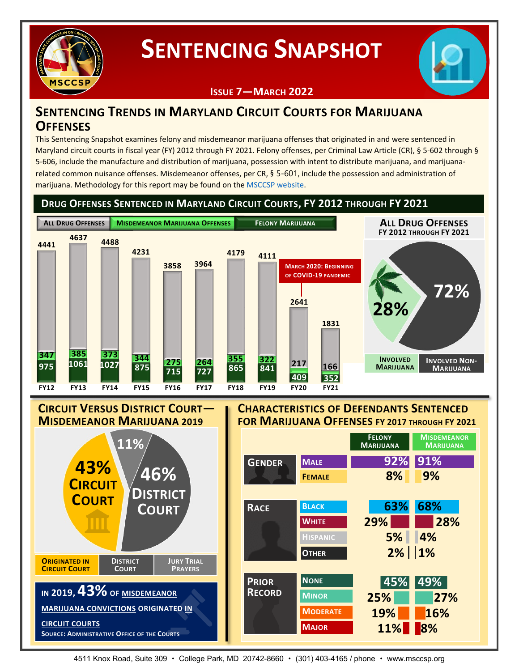

# **SENTENCING SNAPSHOT**



### **ISSUE 7—MARCH 2022**

### **SENTENCING TRENDS IN MARYLAND CIRCUIT COURTS FOR MARIJUANA OFFENSES**

This Sentencing Snapshot examines felony and misdemeanor marijuana offenses that originated in and were sentenced in Maryland circuit courts in fiscal year (FY) 2012 through FY 2021. Felony offenses, per Criminal Law Article (CR), § 5-602 through § 5-606, include the manufacture and distribution of marijuana, possession with intent to distribute marijuana, and marijuanarelated common nuisance offenses. Misdemeanor offenses, per CR, § 5-601, include the possession and administration of marijuana. Methodology for this report may be found on the [MSCCSP website.](http://msccsp.org/Files/Sentencing_Snapshot/Issue7_Methodology.pdf)

**DRUG OFFENSES SENTENCED IN MARYLAND CIRCUIT COURTS, FY 2012 THROUGH FY 2021**



# **CIRCUIT VERSUS DISTRICT COURT— MISDEMEANOR MARIJUANA <sup>2019</sup>**



#### **CHARACTERISTICS OF DEFENDANTS SENTENCED FOR MARIJUANA OFFENSES FY <sup>2017</sup> THROUGH FY <sup>2021</sup>**



4511 Knox Road, Suite 309 • College Park, MD 20742-8660 • (301) 403-4165 / phone • www.msccsp.org